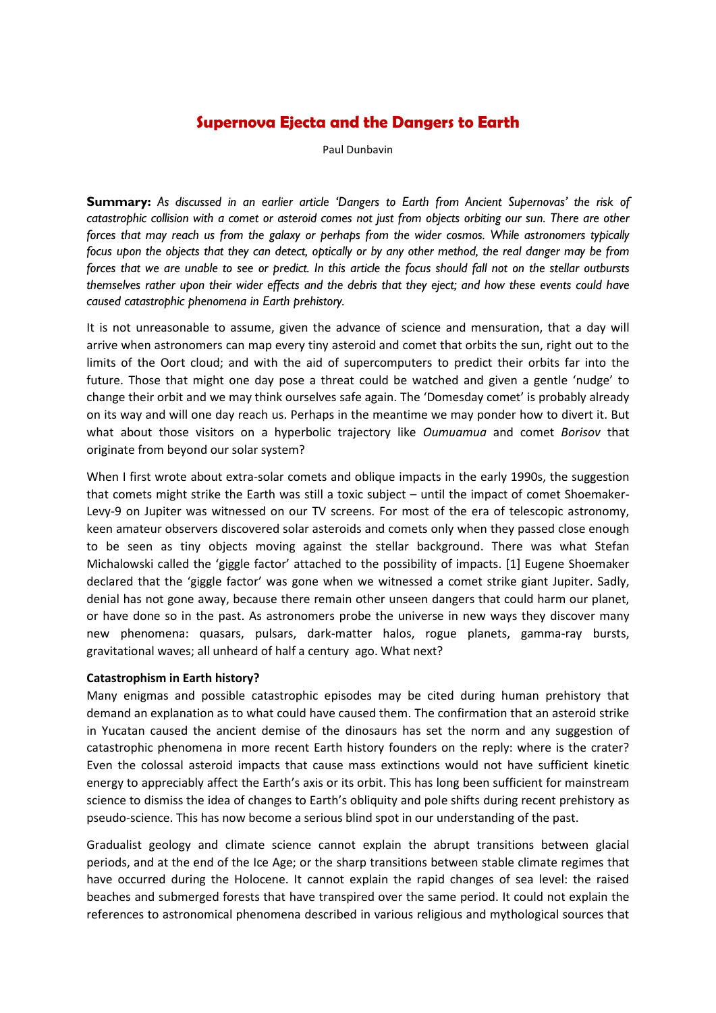# **Supernova Ejecta and the Dangers to Earth**

Paul Dunbavin

**Summary:** *As discussed in an earlier article 'Dangers to Earth from Ancient Supernovas' the risk of catastrophic collision with a comet or asteroid comes not just from objects orbiting our sun. There are other forces that may reach us from the galaxy or perhaps from the wider cosmos. While astronomers typically focus upon the objects that they can detect, optically or by any other method, the real danger may be from forces that we are unable to see or predict. In this article the focus should fall not on the stellar outbursts themselves rather upon their wider effects and the debris that they eject; and how these events could have caused catastrophic phenomena in Earth prehistory.*

It is not unreasonable to assume, given the advance of science and mensuration, that a day will arrive when astronomers can map every tiny asteroid and comet that orbits the sun, right out to the limits of the Oort cloud; and with the aid of supercomputers to predict their orbits far into the future. Those that might one day pose a threat could be watched and given a gentle 'nudge' to change their orbit and we may think ourselves safe again. The 'Domesday comet' is probably already on its way and will one day reach us. Perhaps in the meantime we may ponder how to divert it. But what about those visitors on a hyperbolic trajectory like *Oumuamua* and comet *Borisov* that originate from beyond our solar system?

When I first wrote about extra-solar comets and oblique impacts in the early 1990s, the suggestion that comets might strike the Earth was still a toxic subject – until the impact of comet Shoemaker-Levy-9 on Jupiter was witnessed on our TV screens. For most of the era of telescopic astronomy, keen amateur observers discovered solar asteroids and comets only when they passed close enough to be seen as tiny objects moving against the stellar background. There was what Stefan Michalowski called the 'giggle factor' attached to the possibility of impacts. [1] Eugene Shoemaker declared that the 'giggle factor' was gone when we witnessed a comet strike giant Jupiter. Sadly, denial has not gone away, because there remain other unseen dangers that could harm our planet, or have done so in the past. As astronomers probe the universe in new ways they discover many new phenomena: quasars, pulsars, dark-matter halos, rogue planets, gamma-ray bursts, gravitational waves; all unheard of half a century ago. What next?

# **Catastrophism in Earth history?**

Many enigmas and possible catastrophic episodes may be cited during human prehistory that demand an explanation as to what could have caused them. The confirmation that an asteroid strike in Yucatan caused the ancient demise of the dinosaurs has set the norm and any suggestion of catastrophic phenomena in more recent Earth history founders on the reply: where is the crater? Even the colossal asteroid impacts that cause mass extinctions would not have sufficient kinetic energy to appreciably affect the Earth's axis or its orbit. This has long been sufficient for mainstream science to dismiss the idea of changes to Earth's obliquity and pole shifts during recent prehistory as pseudo-science. This has now become a serious blind spot in our understanding of the past.

Gradualist geology and climate science cannot explain the abrupt transitions between glacial periods, and at the end of the Ice Age; or the sharp transitions between stable climate regimes that have occurred during the Holocene. It cannot explain the rapid changes of sea level: the raised beaches and submerged forests that have transpired over the same period. It could not explain the references to astronomical phenomena described in various religious and mythological sources that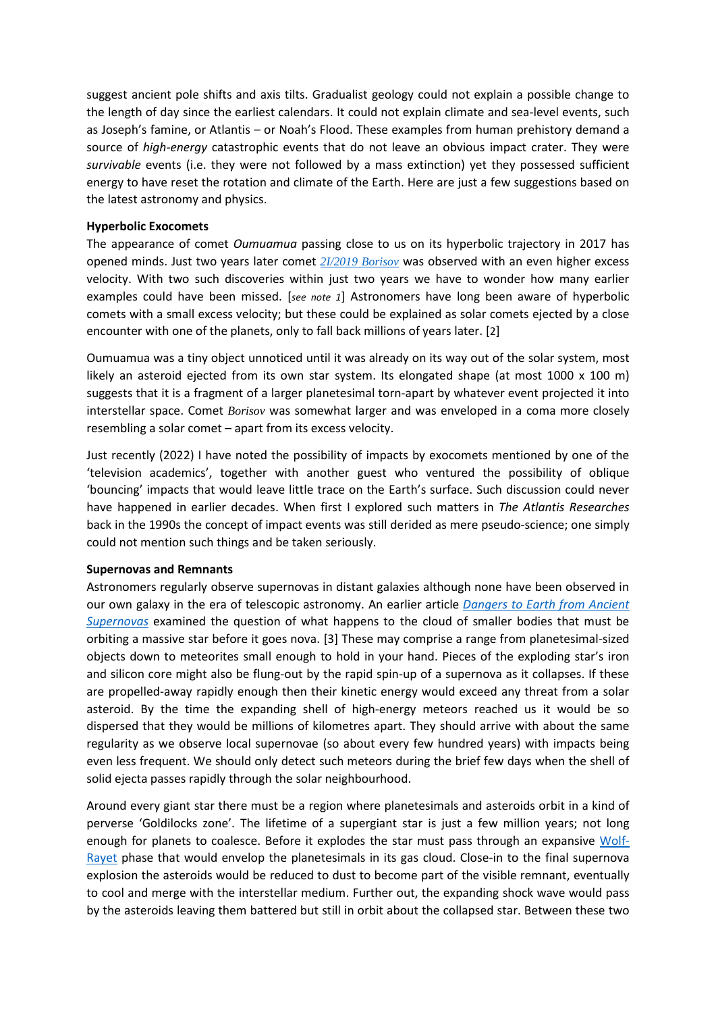suggest ancient pole shifts and axis tilts. Gradualist geology could not explain a possible change to the length of day since the earliest calendars. It could not explain climate and sea-level events, such as Joseph's famine, or Atlantis – or Noah's Flood. These examples from human prehistory demand a source of *high-energy* catastrophic events that do not leave an obvious impact crater. They were *survivable* events (i.e. they were not followed by a mass extinction) yet they possessed sufficient energy to have reset the rotation and climate of the Earth. Here are just a few suggestions based on the latest astronomy and physics.

## **Hyperbolic Exocomets**

The appearance of comet *Oumuamua* passing close to us on its hyperbolic trajectory in 2017 has opened minds. Just two years later comet *[2I/2019 Borisov](https://solarsystem.nasa.gov/asteroids-comets-and-meteors/comets/2I-Borisov/in-depth/)* was observed with an even higher excess velocity. With two such discoveries within just two years we have to wonder how many earlier examples could have been missed. [*see note 1*] Astronomers have long been aware of hyperbolic comets with a small excess velocity; but these could be explained as solar comets ejected by a close encounter with one of the planets, only to fall back millions of years later. [2]

Oumuamua was a tiny object unnoticed until it was already on its way out of the solar system, most likely an asteroid ejected from its own star system. Its elongated shape (at most 1000 x 100 m) suggests that it is a fragment of a larger planetesimal torn-apart by whatever event projected it into interstellar space. Comet *Borisov* was somewhat larger and was enveloped in a coma more closely resembling a solar comet – apart from its excess velocity.

Just recently (2022) I have noted the possibility of impacts by exocomets mentioned by one of the 'television academics', together with another guest who ventured the possibility of oblique 'bouncing' impacts that would leave little trace on the Earth's surface. Such discussion could never have happened in earlier decades. When first I explored such matters in *The Atlantis Researches* back in the 1990s the concept of impact events was still derided as mere pseudo-science; one simply could not mention such things and be taken seriously.

# **Supernovas and Remnants**

Astronomers regularly observe supernovas in distant galaxies although none have been observed in our own galaxy in the era of telescopic astronomy. An earlier article *[Dangers to Earth from Ancient](https://www.third-millennium.co.uk/dangers-from-ancient-supernovas)  [Supernovas](https://www.third-millennium.co.uk/dangers-from-ancient-supernovas)* examined the question of what happens to the cloud of smaller bodies that must be orbiting a massive star before it goes nova. [3] These may comprise a range from planetesimal-sized objects down to meteorites small enough to hold in your hand. Pieces of the exploding star's iron and silicon core might also be flung-out by the rapid spin-up of a supernova as it collapses. If these are propelled-away rapidly enough then their kinetic energy would exceed any threat from a solar asteroid. By the time the expanding shell of high-energy meteors reached us it would be so dispersed that they would be millions of kilometres apart. They should arrive with about the same regularity as we observe local supernovae (so about every few hundred years) with impacts being even less frequent. We should only detect such meteors during the brief few days when the shell of solid ejecta passes rapidly through the solar neighbourhood.

Around every giant star there must be a region where planetesimals and asteroids orbit in a kind of perverse 'Goldilocks zone'. The lifetime of a supergiant star is just a few million years; not long enough for planets to coalesce. Before it explodes the star must pass through an expansive [Wolf-](https://www.iac.es/en/outreach/news/astronomers-discover-first-supernova-explosion-wolf-rayet-star)[Rayet](https://www.iac.es/en/outreach/news/astronomers-discover-first-supernova-explosion-wolf-rayet-star) phase that would envelop the planetesimals in its gas cloud. Close-in to the final supernova explosion the asteroids would be reduced to dust to become part of the visible remnant, eventually to cool and merge with the interstellar medium. Further out, the expanding shock wave would pass by the asteroids leaving them battered but still in orbit about the collapsed star. Between these two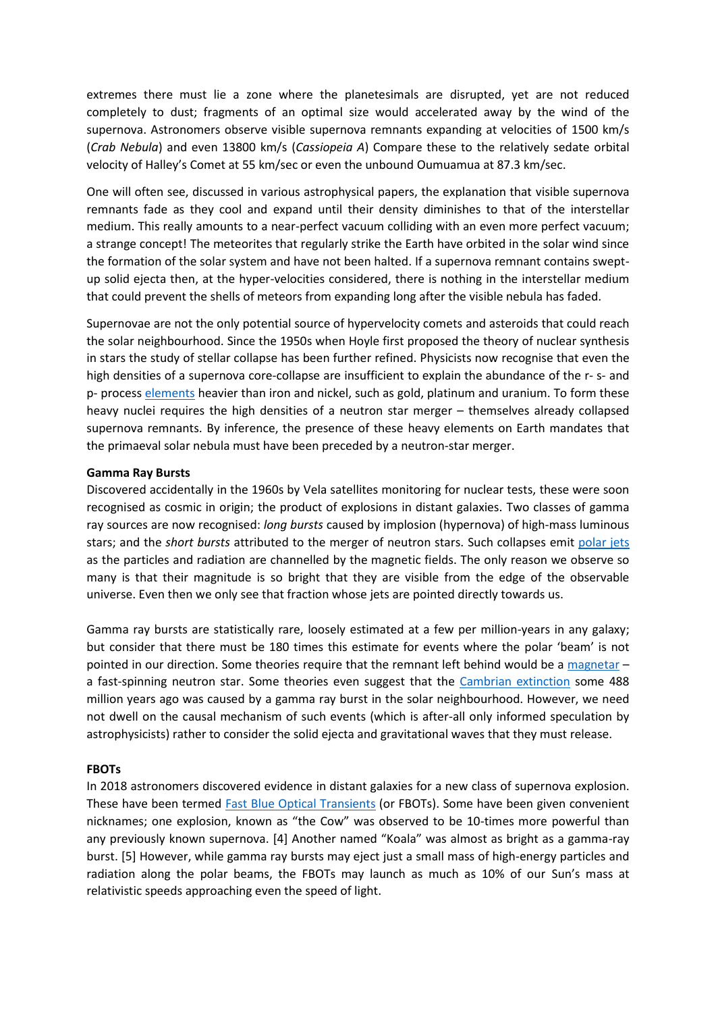extremes there must lie a zone where the planetesimals are disrupted, yet are not reduced completely to dust; fragments of an optimal size would accelerated away by the wind of the supernova. Astronomers observe visible supernova remnants expanding at velocities of 1500 km/s (*Crab Nebula*) and even 13800 km/s (*Cassiopeia A*) Compare these to the relatively sedate orbital velocity of Halley's Comet at 55 km/sec or even the unbound Oumuamua at 87.3 km/sec.

One will often see, discussed in various astrophysical papers, the explanation that visible supernova remnants fade as they cool and expand until their density diminishes to that of the interstellar medium. This really amounts to a near-perfect vacuum colliding with an even more perfect vacuum; a strange concept! The meteorites that regularly strike the Earth have orbited in the solar wind since the formation of the solar system and have not been halted. If a supernova remnant contains sweptup solid ejecta then, at the hyper-velocities considered, there is nothing in the interstellar medium that could prevent the shells of meteors from expanding long after the visible nebula has faded.

Supernovae are not the only potential source of hypervelocity comets and asteroids that could reach the solar neighbourhood. Since the 1950s when Hoyle first proposed the theory of nuclear synthesis in stars the study of stellar collapse has been further refined. Physicists now recognise that even the high densities of a supernova core-collapse are insufficient to explain the abundance of the r- s- and p- proces[s elements](https://ntrs.nasa.gov/api/citations/19980007188/downloads/19980007188.pdf) heavier than iron and nickel, such as gold, platinum and uranium. To form these heavy nuclei requires the high densities of a neutron star merger – themselves already collapsed supernova remnants. By inference, the presence of these heavy elements on Earth mandates that the primaeval solar nebula must have been preceded by a neutron-star merger.

#### **Gamma Ray Bursts**

Discovered accidentally in the 1960s by Vela satellites monitoring for nuclear tests, these were soon recognised as cosmic in origin; the product of explosions in distant galaxies. Two classes of gamma ray sources are now recognised: *long bursts* caused by implosion (hypernova) of high-mass luminous stars; and the *short bursts* attributed to the merger of neutron stars. Such collapses emit [polar jets](https://phys.org/news/2018-09-neutron-star-jets-theory.html) as the particles and radiation are channelled by the magnetic fields. The only reason we observe so many is that their magnitude is so bright that they are visible from the edge of the observable universe. Even then we only see that fraction whose jets are pointed directly towards us.

Gamma ray bursts are statistically rare, loosely estimated at a few per million-years in any galaxy; but consider that there must be 180 times this estimate for events where the polar 'beam' is not pointed in our direction. Some theories require that the remnant left behind would be a [magnetar](https://astronomy.swin.edu.au/cosmos/M/Magnetar) – a fast-spinning neutron star. Some theories even suggest that the [Cambrian extinction](https://www.pnas.org/doi/10.1073/pnas.2013774117) some 488 million years ago was caused by a gamma ray burst in the solar neighbourhood. However, we need not dwell on the causal mechanism of such events (which is after-all only informed speculation by astrophysicists) rather to consider the solid ejecta and gravitational waves that they must release.

# **FBOTs**

In 2018 astronomers discovered evidence in distant galaxies for a new class of supernova explosion. These have been termed [Fast Blue Optical Transients](http://astro.vaporia.com/start/fbot.html) (or FBOTs). Some have been given convenient nicknames; one explosion, known as "the Cow" was observed to be 10-times more powerful than any previously known supernova. [4] Another named "Koala" was almost as bright as a gamma-ray burst. [5] However, while gamma ray bursts may eject just a small mass of high-energy particles and radiation along the polar beams, the FBOTs may launch as much as 10% of our Sun's mass at relativistic speeds approaching even the speed of light.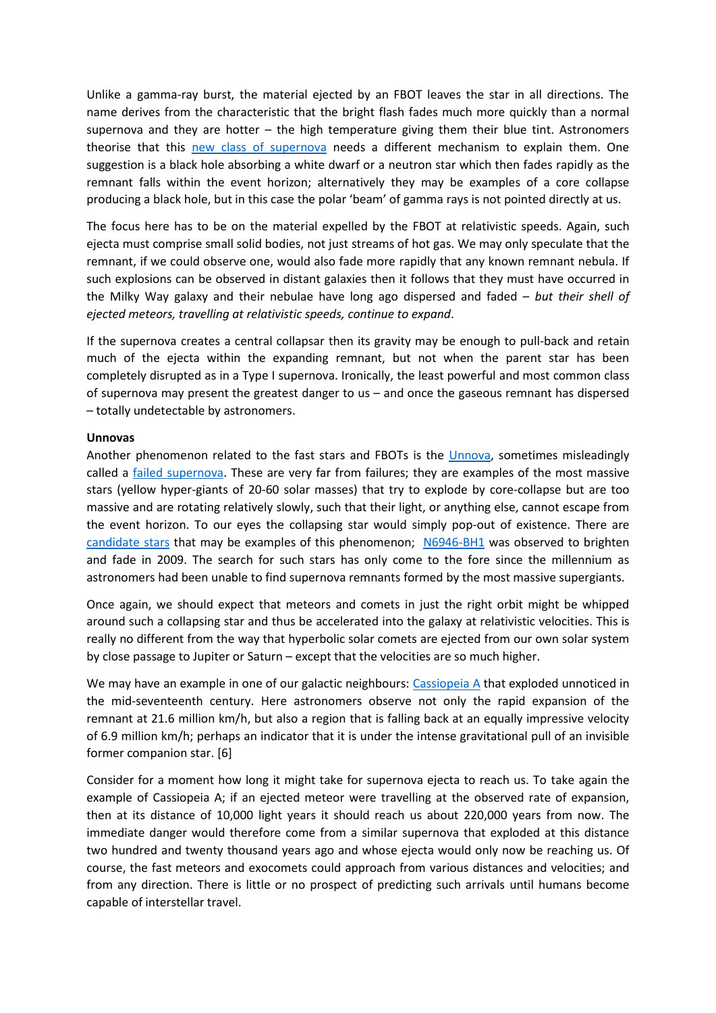Unlike a gamma-ray burst, the material ejected by an FBOT leaves the star in all directions. The name derives from the characteristic that the bright flash fades much more quickly than a normal supernova and they are hotter – the high temperature giving them their blue tint. Astronomers theorise that this [new class of supernova](https://public.nrao.edu/gallery/category/supernova-explosions-and-supernova-remnants/) needs a different mechanism to explain them. One suggestion is a black hole absorbing a white dwarf or a neutron star which then fades rapidly as the remnant falls within the event horizon; alternatively they may be examples of a core collapse producing a black hole, but in this case the polar 'beam' of gamma rays is not pointed directly at us.

The focus here has to be on the material expelled by the FBOT at relativistic speeds. Again, such ejecta must comprise small solid bodies, not just streams of hot gas. We may only speculate that the remnant, if we could observe one, would also fade more rapidly that any known remnant nebula. If such explosions can be observed in distant galaxies then it follows that they must have occurred in the Milky Way galaxy and their nebulae have long ago dispersed and faded – *but their shell of ejected meteors, travelling at relativistic speeds, continue to expand*.

If the supernova creates a central collapsar then its gravity may be enough to pull-back and retain much of the ejecta within the expanding remnant, but not when the parent star has been completely disrupted as in a Type I supernova. Ironically, the least powerful and most common class of supernova may present the greatest danger to us – and once the gaseous remnant has dispersed – totally undetectable by astronomers.

#### **Unnovas**

Another phenomenon related to the fast stars and FBOTs is the [Unnova,](https://astrobites.org/2011/10/24/the-case-of-the-disappearing-star-un-novae-and-ultra-long-gamma-ray-transients/) sometimes misleadingly called a [failed supernova.](https://en.wikipedia.org/wiki/Failed_supernova) These are very far from failures; they are examples of the most massive stars (yellow hyper-giants of 20-60 solar masses) that try to explode by core-collapse but are too massive and are rotating relatively slowly, such that their light, or anything else, cannot escape from the event horizon. To our eyes the collapsing star would simply pop-out of existence. There are [candidate stars](https://en.wikipedia.org/wiki/N6946-BH1#/media/File:PIA21467.jpg) that may be examples of this phenomenon; [N6946-BH1](https://hubblesite.org/contents/media/images/2017/19/4039-Image.html?news=true) was observed to brighten and fade in 2009. The search for such stars has only come to the fore since the millennium as astronomers had been unable to find supernova remnants formed by the most massive supergiants.

Once again, we should expect that meteors and comets in just the right orbit might be whipped around such a collapsing star and thus be accelerated into the galaxy at relativistic velocities. This is really no different from the way that hyperbolic solar comets are ejected from our own solar system by close passage to Jupiter or Saturn – except that the velocities are so much higher.

We may have an example in one of our galactic neighbours: [Cassiopeia](https://www.livescience.com/supernova-reverse-shock-wave?utm_source=SmartBrief&utm_medium=email&utm_campaign=368B3745-DDE0-4A69-A2E8-62503D85375D&utm_content=45054BCA-D8B1-4E49-9123-35432221BE75&utm_term=b61b1b5a-1b6b-4f37-aa7a-c9165df3a6d2) A that exploded unnoticed in the mid-seventeenth century. Here astronomers observe not only the rapid expansion of the remnant at 21.6 million km/h, but also a region that is falling back at an equally impressive velocity of 6.9 million km/h; perhaps an indicator that it is under the intense gravitational pull of an invisible former companion star. [6]

Consider for a moment how long it might take for supernova ejecta to reach us. To take again the example of Cassiopeia A; if an ejected meteor were travelling at the observed rate of expansion, then at its distance of 10,000 light years it should reach us about 220,000 years from now. The immediate danger would therefore come from a similar supernova that exploded at this distance two hundred and twenty thousand years ago and whose ejecta would only now be reaching us. Of course, the fast meteors and exocomets could approach from various distances and velocities; and from any direction. There is little or no prospect of predicting such arrivals until humans become capable of interstellar travel.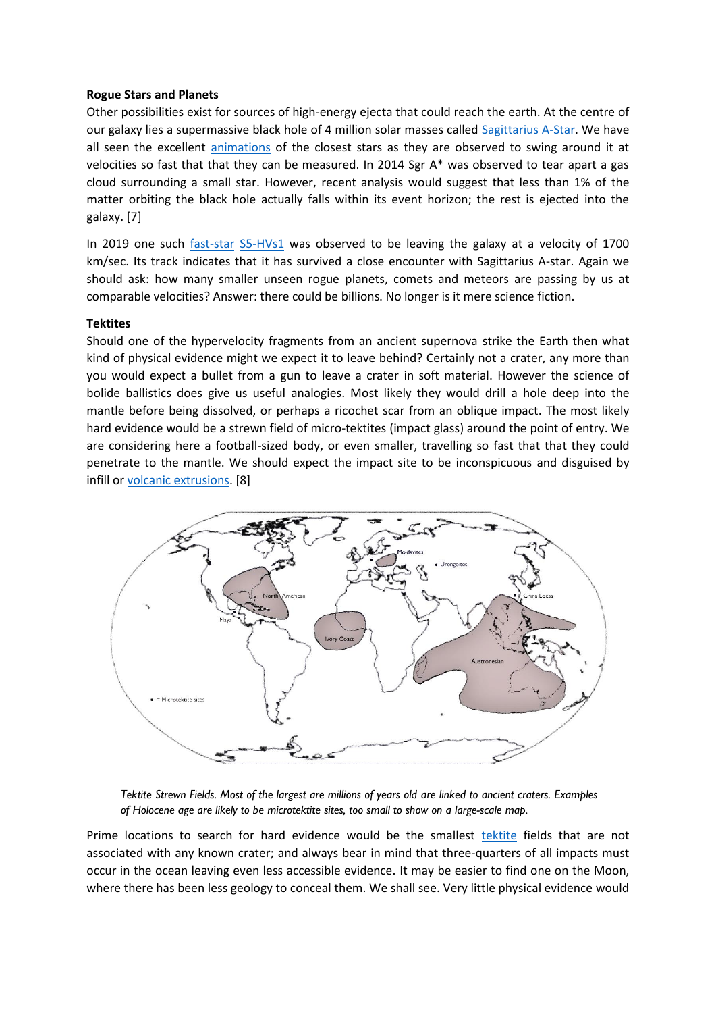# **Rogue Stars and Planets**

Other possibilities exist for sources of high-energy ejecta that could reach the earth. At the centre of our galaxy lies a supermassive black hole of 4 million solar masses called [Sagittarius A-Star.](https://www.nasa.gov/mission_pages/chandra/multimedia/black-hole-SagittariusA.html) We have all seen the excellent [animations](https://en.wikipedia.org/wiki/File:SgrA2018.gif) of the closest stars as they are observed to swing around it at velocities so fast that that they can be measured. In 2014 Sgr A\* was observed to tear apart a gas cloud surrounding a small star. However, recent analysis would suggest that less than 1% of the matter orbiting the black hole actually falls within its event horizon; the rest is ejected into the galaxy. [7]

In 2019 one such [fast-star](https://www.universeguide.com/fact/hypervelocitystars) [S5-HVs1](http://www.sci-news.com/astronomy/s5-hvs1-hypervelocity-star-07799.html) was observed to be leaving the galaxy at a velocity of 1700 km/sec. Its track indicates that it has survived a close encounter with Sagittarius A-star. Again we should ask: how many smaller unseen rogue planets, comets and meteors are passing by us at comparable velocities? Answer: there could be billions. No longer is it mere science fiction.

#### **Tektites**

Should one of the hypervelocity fragments from an ancient supernova strike the Earth then what kind of physical evidence might we expect it to leave behind? Certainly not a crater, any more than you would expect a bullet from a gun to leave a crater in soft material. However the science of bolide ballistics does give us useful analogies. Most likely they would drill a hole deep into the mantle before being dissolved, or perhaps a ricochet scar from an oblique impact. The most likely hard evidence would be a strewn field of micro-tektites (impact glass) around the point of entry. We are considering here a football-sized body, or even smaller, travelling so fast that that they could penetrate to the mantle. We should expect the impact site to be inconspicuous and disguised by infill or [volcanic extrusions.](https://geologyscience.com/gallery/eye-of-the-sahara-or-richat-structure/) [8]



*Tektite Strewn Fields. Most of the largest are millions of years old are linked to ancient craters. Examples of Holocene age are likely to be microtektite sites, too small to show on a large-scale map.*

Prime locations to search for hard evidence would be the smallest [tektite](https://www.sciencedirect.com/science/article/pii/S0016703718301236) fields that are not associated with any known crater; and always bear in mind that three-quarters of all impacts must occur in the ocean leaving even less accessible evidence. It may be easier to find one on the Moon, where there has been less geology to conceal them. We shall see. Very little physical evidence would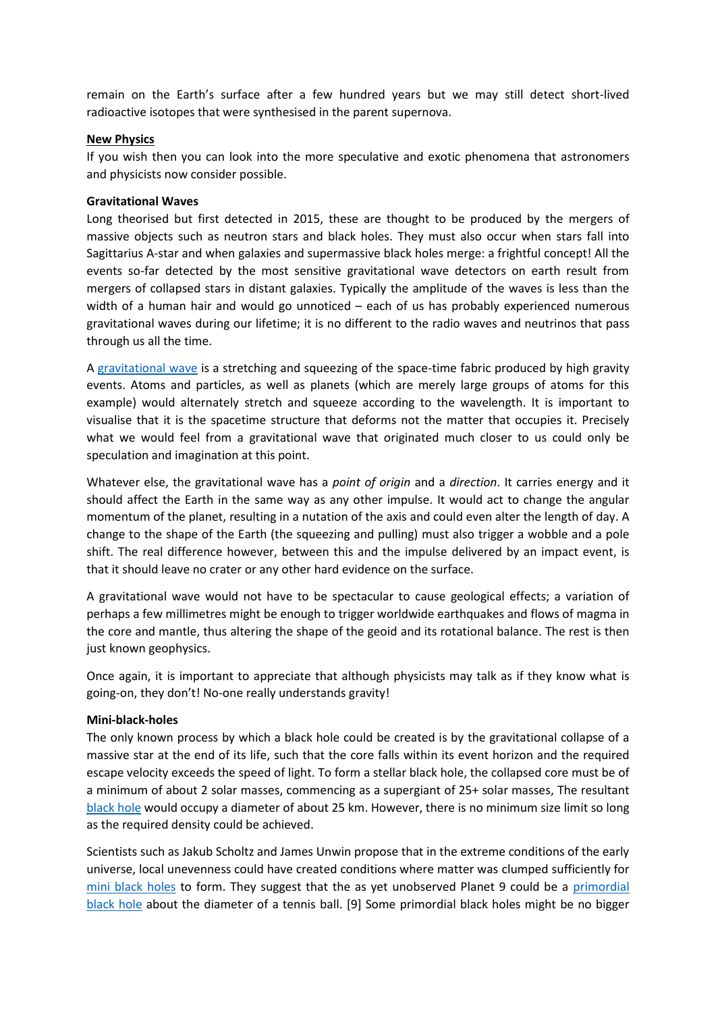remain on the Earth's surface after a few hundred years but we may still detect short-lived radioactive isotopes that were synthesised in the parent supernova.

## **New Physics**

If you wish then you can look into the more speculative and exotic phenomena that astronomers and physicists now consider possible.

## **Gravitational Waves**

Long theorised but first detected in 2015, these are thought to be produced by the mergers of massive objects such as neutron stars and black holes. They must also occur when stars fall into Sagittarius A-star and when galaxies and supermassive black holes merge: a frightful concept! All the events so-far detected by the most sensitive gravitational wave detectors on earth result from mergers of collapsed stars in distant galaxies. Typically the amplitude of the waves is less than the width of a human hair and would go unnoticed – each of us has probably experienced numerous gravitational waves during our lifetime; it is no different to the radio waves and neutrinos that pass through us all the time.

A [gravitational wave](https://www.space.com/38471-gravitational-waves-neutron-star-crashes-discovery-explained.html) is a stretching and squeezing of the space-time fabric produced by high gravity events. Atoms and particles, as well as planets (which are merely large groups of atoms for this example) would alternately stretch and squeeze according to the wavelength. It is important to visualise that it is the spacetime structure that deforms not the matter that occupies it. Precisely what we would feel from a gravitational wave that originated much closer to us could only be speculation and imagination at this point.

Whatever else, the gravitational wave has a *point of origin* and a *direction*. It carries energy and it should affect the Earth in the same way as any other impulse. It would act to change the angular momentum of the planet, resulting in a nutation of the axis and could even alter the length of day. A change to the shape of the Earth (the squeezing and pulling) must also trigger a wobble and a pole shift. The real difference however, between this and the impulse delivered by an impact event, is that it should leave no crater or any other hard evidence on the surface.

A gravitational wave would not have to be spectacular to cause geological effects; a variation of perhaps a few millimetres might be enough to trigger worldwide earthquakes and flows of magma in the core and mantle, thus altering the shape of the geoid and its rotational balance. The rest is then just known geophysics.

Once again, it is important to appreciate that although physicists may talk as if they know what is going-on, they don't! No-one really understands gravity!

#### **Mini-black-holes**

The only known process by which a black hole could be created is by the gravitational collapse of a massive star at the end of its life, such that the core falls within its event horizon and the required escape velocity exceeds the speed of light. To form a stellar black hole, the collapsed core must be of a minimum of about 2 solar masses, commencing as a supergiant of 25+ solar masses, The resultant [black hole](https://www.scientificamerican.com/gallery/the-smallest-known-black-hole/) would occupy a diameter of about 25 km. However, there is no minimum size limit so long as the required density could be achieved.

Scientists such as Jakub Scholtz and James Unwin propose that in the extreme conditions of the early universe, local unevenness could have created conditions where matter was clumped sufficiently for [mini black holes](https://physics.stackexchange.com/questions/175397/minimum-size-of-black-hole#:~:text=There%27s%20no%20minimum%20size.,with%20around%2025%20solar%20masses.) to form. They suggest that the as yet unobserved Planet 9 could be a [primordial](https://arxiv.org/pdf/1909.11090.pdf)  [black hole](https://arxiv.org/pdf/1909.11090.pdf) about the diameter of a tennis ball. [9] Some primordial black holes might be no bigger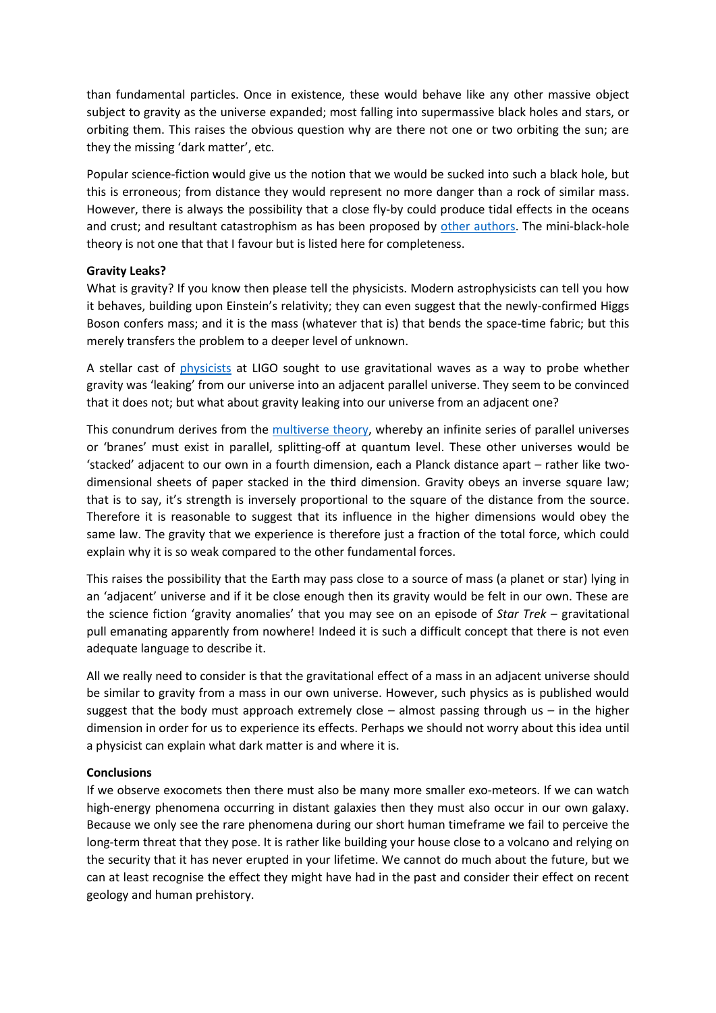than fundamental particles. Once in existence, these would behave like any other massive object subject to gravity as the universe expanded; most falling into supermassive black holes and stars, or orbiting them. This raises the obvious question why are there not one or two orbiting the sun; are they the missing 'dark matter', etc.

Popular science-fiction would give us the notion that we would be sucked into such a black hole, but this is erroneous; from distance they would represent no more danger than a rock of similar mass. However, there is always the possibility that a close fly-by could produce tidal effects in the oceans and crust; and resultant catastrophism as has been proposed by [other authors.](https://e5604c28-c423-4f27-93ae-386dc6e69ba7.usrfiles.com/ugd/e5604c_43ec652d55c145a8a4963db7129e843f.pdf) The mini-black-hole theory is not one that that I favour but is listed here for completeness.

# **Gravity Leaks?**

What is gravity? If you know then please tell the physicists. Modern astrophysicists can tell you how it behaves, building upon Einstein's relativity; they can even suggest that the newly-confirmed Higgs Boson confers mass; and it is the mass (whatever that is) that bends the space-time fabric; but this merely transfers the problem to a deeper level of unknown.

A stellar cast of [physicists](https://arxiv.org/abs/1811.00364) at LIGO sought to use gravitational waves as a way to probe whether gravity was 'leaking' from our universe into an adjacent parallel universe. They seem to be convinced that it does not; but what about gravity leaking into our universe from an adjacent one?

This conundrum derives from the [multiverse](https://www.forbes.com/sites/startswithabang/2019/03/15/this-is-why-the-multiverse-must-exist/?sh=72b9955f6d08) theory, whereby an infinite series of parallel universes or 'branes' must exist in parallel, splitting-off at quantum level. These other universes would be 'stacked' adjacent to our own in a fourth dimension, each a Planck distance apart – rather like twodimensional sheets of paper stacked in the third dimension. Gravity obeys an inverse square law; that is to say, it's strength is inversely proportional to the square of the distance from the source. Therefore it is reasonable to suggest that its influence in the higher dimensions would obey the same law. The gravity that we experience is therefore just a fraction of the total force, which could explain why it is so weak compared to the other fundamental forces.

This raises the possibility that the Earth may pass close to a source of mass (a planet or star) lying in an 'adjacent' universe and if it be close enough then its gravity would be felt in our own. These are the science fiction 'gravity anomalies' that you may see on an episode of *Star Trek* – gravitational pull emanating apparently from nowhere! Indeed it is such a difficult concept that there is not even adequate language to describe it.

All we really need to consider is that the gravitational effect of a mass in an adjacent universe should be similar to gravity from a mass in our own universe. However, such physics as is published would suggest that the body must approach extremely close  $-$  almost passing through us  $-$  in the higher dimension in order for us to experience its effects. Perhaps we should not worry about this idea until a physicist can explain what dark matter is and where it is.

# **Conclusions**

If we observe exocomets then there must also be many more smaller exo-meteors. If we can watch high-energy phenomena occurring in distant galaxies then they must also occur in our own galaxy. Because we only see the rare phenomena during our short human timeframe we fail to perceive the long-term threat that they pose. It is rather like building your house close to a volcano and relying on the security that it has never erupted in your lifetime. We cannot do much about the future, but we can at least recognise the effect they might have had in the past and consider their effect on recent geology and human prehistory.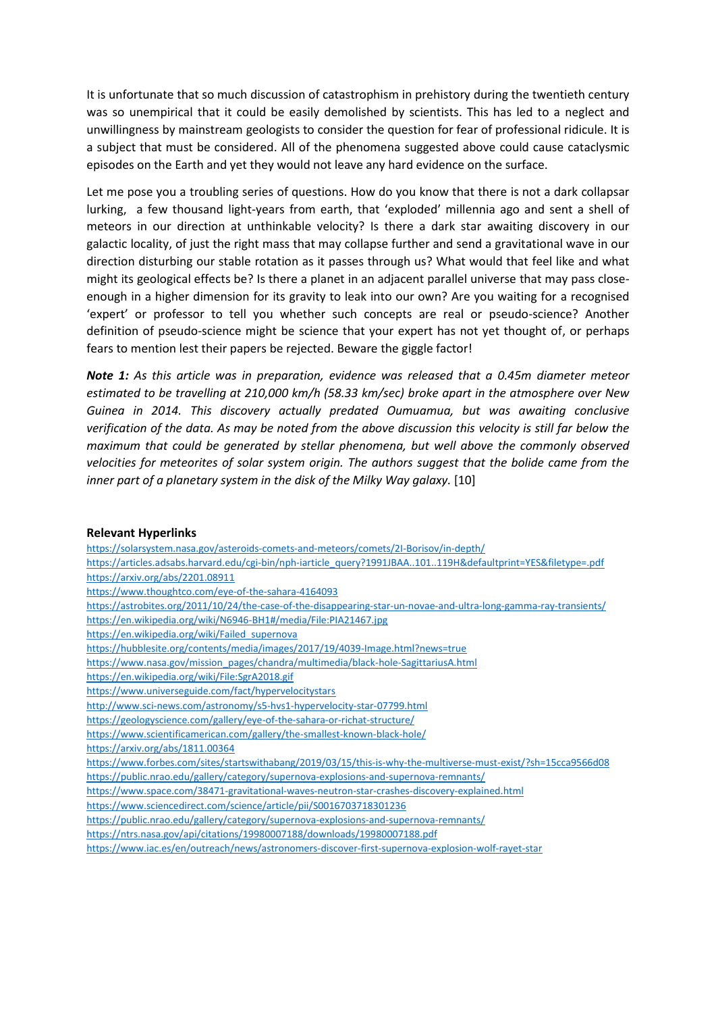It is unfortunate that so much discussion of catastrophism in prehistory during the twentieth century was so unempirical that it could be easily demolished by scientists. This has led to a neglect and unwillingness by mainstream geologists to consider the question for fear of professional ridicule. It is a subject that must be considered. All of the phenomena suggested above could cause cataclysmic episodes on the Earth and yet they would not leave any hard evidence on the surface.

Let me pose you a troubling series of questions. How do you know that there is not a dark collapsar lurking, a few thousand light-years from earth, that 'exploded' millennia ago and sent a shell of meteors in our direction at unthinkable velocity? Is there a dark star awaiting discovery in our galactic locality, of just the right mass that may collapse further and send a gravitational wave in our direction disturbing our stable rotation as it passes through us? What would that feel like and what might its geological effects be? Is there a planet in an adjacent parallel universe that may pass closeenough in a higher dimension for its gravity to leak into our own? Are you waiting for a recognised 'expert' or professor to tell you whether such concepts are real or pseudo-science? Another definition of pseudo-science might be science that your expert has not yet thought of, or perhaps fears to mention lest their papers be rejected. Beware the giggle factor!

*Note 1: As this article was in preparation, evidence was released that a 0.45m diameter meteor estimated to be travelling at 210,000 km/h (58.33 km/sec) broke apart in the atmosphere over New Guinea in 2014. This discovery actually predated Oumuamua, but was awaiting conclusive verification of the data. As may be noted from the above discussion this velocity is still far below the maximum that could be generated by stellar phenomena, but well above the commonly observed velocities for meteorites of solar system origin. The authors suggest that the bolide came from the inner part of a planetary system in the disk of the Milky Way galaxy.* [10]

#### **Relevant Hyperlinks**

<https://solarsystem.nasa.gov/asteroids-comets-and-meteors/comets/2I-Borisov/in-depth/> [https://articles.adsabs.harvard.edu/cgi-bin/nph-iarticle\\_query?1991JBAA..101..119H&defaultprint=YES&filetype=.pdf](https://articles.adsabs.harvard.edu/cgi-bin/nph-iarticle_query?1991JBAA..101..119H&defaultprint=YES&filetype=.pdf) <https://arxiv.org/abs/2201.08911> <https://www.thoughtco.com/eye-of-the-sahara-4164093> <https://astrobites.org/2011/10/24/the-case-of-the-disappearing-star-un-novae-and-ultra-long-gamma-ray-transients/> <https://en.wikipedia.org/wiki/N6946-BH1#/media/File:PIA21467.jpg> [https://en.wikipedia.org/wiki/Failed\\_supernova](https://en.wikipedia.org/wiki/Failed_supernova) <https://hubblesite.org/contents/media/images/2017/19/4039-Image.html?news=true> [https://www.nasa.gov/mission\\_pages/chandra/multimedia/black-hole-SagittariusA.html](https://www.nasa.gov/mission_pages/chandra/multimedia/black-hole-SagittariusA.html) <https://en.wikipedia.org/wiki/File:SgrA2018.gif> <https://www.universeguide.com/fact/hypervelocitystars> <http://www.sci-news.com/astronomy/s5-hvs1-hypervelocity-star-07799.html> <https://geologyscience.com/gallery/eye-of-the-sahara-or-richat-structure/> <https://www.scientificamerican.com/gallery/the-smallest-known-black-hole/> <https://arxiv.org/abs/1811.00364> <https://www.forbes.com/sites/startswithabang/2019/03/15/this-is-why-the-multiverse-must-exist/?sh=15cca9566d08> <https://public.nrao.edu/gallery/category/supernova-explosions-and-supernova-remnants/> <https://www.space.com/38471-gravitational-waves-neutron-star-crashes-discovery-explained.html> <https://www.sciencedirect.com/science/article/pii/S0016703718301236> <https://public.nrao.edu/gallery/category/supernova-explosions-and-supernova-remnants/> <https://ntrs.nasa.gov/api/citations/19980007188/downloads/19980007188.pdf> <https://www.iac.es/en/outreach/news/astronomers-discover-first-supernova-explosion-wolf-rayet-star>